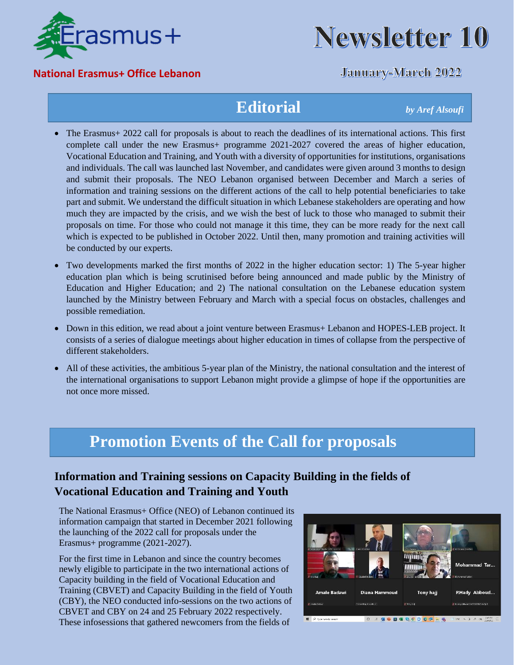

#### **National Erasmus+ Office Lebanon**



### **January-March 2022**

## **Editorial** *by Aref Alsoufi*

- The Erasmus+ 2022 call for proposals is about to reach the deadlines of its international actions. This first complete call under the new Erasmus+ programme 2021-2027 covered the areas of higher education, Vocational Education and Training, and Youth with a diversity of opportunities for institutions, organisations and individuals. The call was launched last November, and candidates were given around 3 months to design and submit their proposals. The NEO Lebanon organised between December and March a series of information and training sessions on the different actions of the call to help potential beneficiaries to take part and submit. We understand the difficult situation in which Lebanese stakeholders are operating and how much they are impacted by the crisis, and we wish the best of luck to those who managed to submit their proposals on time. For those who could not manage it this time, they can be more ready for the next call which is expected to be published in October 2022. Until then, many promotion and training activities will be conducted by our experts.
- Two developments marked the first months of 2022 in the higher education sector: 1) The 5-year higher education plan which is being scrutinised before being announced and made public by the Ministry of Education and Higher Education; and 2) The national consultation on the Lebanese education system launched by the Ministry between February and March with a special focus on obstacles, challenges and possible remediation.
- Down in this edition, we read about a joint venture between Erasmus + Lebanon and HOPES-LEB project. It consists of a series of dialogue meetings about higher education in times of collapse from the perspective of different stakeholders.
- All of these activities, the ambitious 5-year plan of the Ministry, the national consultation and the interest of the international organisations to support Lebanon might provide a glimpse of hope if the opportunities are not once more missed.

# **Promotion Events of the Call for proposals**

### **Information and Training sessions on Capacity Building in the fields of Vocational Education and Training and Youth**

The National Erasmus+ Office (NEO) of Lebanon continued its information campaign that started in December 2021 following the launching of the 2022 call for proposals under the Erasmus+ programme (2021-2027).

For the first time in Lebanon and since the country becomes newly eligible to participate in the two international actions of Capacity building in the field of Vocational Education and Training (CBVET) and Capacity Building in the field of Youth (CBY), the NEO conducted info-sessions on the two actions of CBVET and CBY on 24 and 25 February 2022 respectively. These infosessions that gathered newcomers from the fields of

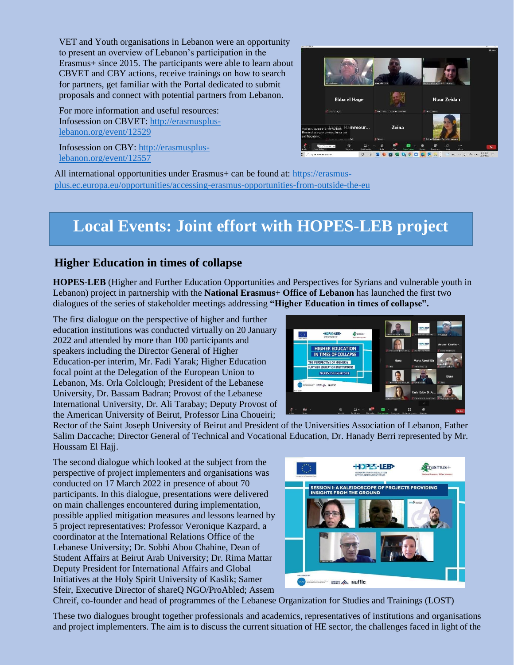VET and Youth organisations in Lebanon were an opportunity to present an overview of Lebanon's participation in the Erasmus+ since 2015. The participants were able to learn about CBVET and CBY actions, receive trainings on how to search for partners, get familiar with the Portal dedicated to submit proposals and connect with potential partners from Lebanon.

For more information and useful resources: Infosession on CBVET: [http://erasmusplus](http://erasmusplus-lebanon.org/event/12529)[lebanon.org/event/12529](http://erasmusplus-lebanon.org/event/12529)

Infosession on CBY: [http://erasmusplus](http://erasmusplus-lebanon.org/event/12557)[lebanon.org/event/12557](http://erasmusplus-lebanon.org/event/12557)



All international opportunities under Erasmus+ can be found at: [https://erasmus](https://erasmus-plus.ec.europa.eu/opportunities/accessing-erasmus-opportunities-from-outside-the-eu)[plus.ec.europa.eu/opportunities/accessing-erasmus-opportunities-from-outside-the-eu](https://erasmus-plus.ec.europa.eu/opportunities/accessing-erasmus-opportunities-from-outside-the-eu)

# **Local Events: Joint effort with HOPES-LEB project**

#### **Higher Education in times of collapse**

**HOPES-LEB** (Higher and Further Education Opportunities and Perspectives for Syrians and vulnerable youth in Lebanon) project in partnership with the **National Erasmus+ Office of Lebanon** has launched the first two dialogues of the series of stakeholder meetings addressing **"Higher Education in times of collapse".**

The first dialogue on the perspective of higher and further education institutions was conducted virtually on 20 January 2022 and attended by more than 100 participants and speakers including the Director General of Higher Education-per interim, Mr. Fadi Yarak; Higher Education focal point at the Delegation of the European Union to Lebanon, Ms. Orla Colclough; President of the Lebanese University, Dr. Bassam Badran; Provost of the Lebanese International University, Dr. Ali Tarabay; Deputy Provost of the American University of Beirut, Professor Lina Choueiri;



Rector of the Saint Joseph University of Beirut and President of the Universities Association of Lebanon, Father Salim Daccache; Director General of Technical and Vocational Education, Dr. Hanady Berri represented by Mr. Houssam El Hajj.

The second dialogue which looked at the subject from the perspective of project implementers and organisations was conducted on 17 March 2022 in presence of about 70 participants. In this dialogue, presentations were delivered on main challenges encountered during implementation, possible applied mitigation measures and lessons learned by 5 project representatives: Professor Veronique Kazpard, a coordinator at the International Relations Office of the Lebanese University; Dr. Sobhi Abou Chahine, Dean of Student Affairs at Beirut Arab University; Dr. Rima Mattar Deputy President for International Affairs and Global Initiatives at the Holy Spirit University of Kaslik; Samer Sfeir, Executive Director of shareQ NGO/ProAbled; Assem



Chreif, co-founder and head of programmes of the Lebanese Organization for Studies and Trainings (LOST)

These two dialogues brought together professionals and academics, representatives of institutions and organisations and project implementers. The aim is to discuss the current situation of HE sector, the challenges faced in light of the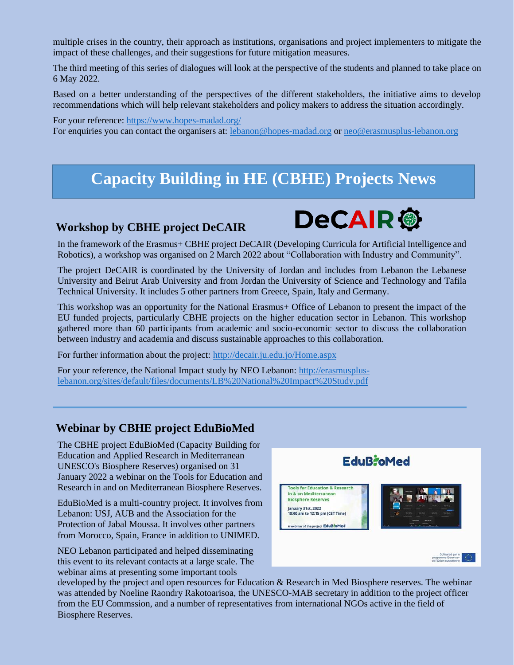multiple crises in the country, their approach as institutions, organisations and project implementers to mitigate the impact of these challenges, and their suggestions for future mitigation measures.

The third meeting of this series of dialogues will look at the perspective of the students and planned to take place on 6 May 2022.

Based on a better understanding of the perspectives of the different stakeholders, the initiative aims to develop recommendations which will help relevant stakeholders and policy makers to address the situation accordingly.

For your reference[: https://www.hopes-madad.org/](https://www.hopes-madad.org/) For enquiries you can contact the organisers at: [lebanon@hopes-madad.org](mailto:lebanon@hopes-madad.org) or [neo@erasmusplus-lebanon.org](mailto:neo@erasmusplus-lebanon.org)

### **Capacity Building in HE (CBHE) Projects News**

#### **Workshop by CBHE project DeCAIR**



In the framework of the Erasmus+ CBHE project DeCAIR (Developing Curricula for Artificial Intelligence and Robotics), a workshop was organised on 2 March 2022 about "Collaboration with Industry and Community".

The project DeCAIR is coordinated by the University of Jordan and includes from Lebanon the Lebanese University and Beirut Arab University and from Jordan the University of Science and Technology and Tafila Technical University. It includes 5 other partners from Greece, Spain, Italy and Germany.

This workshop was an opportunity for the National Erasmus+ Office of Lebanon to present the impact of the EU funded projects, particularly CBHE projects on the higher education sector in Lebanon. This workshop gathered more than 60 participants from academic and socio-economic sector to discuss the collaboration between industry and academia and discuss sustainable approaches to this collaboration.

For further information about the project:<http://decair.ju.edu.jo/Home.aspx>

For your reference, the National Impact study by NEO Lebanon: [http://erasmusplus](http://erasmusplus-lebanon.org/sites/default/files/documents/LB%20National%20Impact%20Study.pdf)[lebanon.org/sites/default/files/documents/LB%20National%20Impact%20Study.pdf](http://erasmusplus-lebanon.org/sites/default/files/documents/LB%20National%20Impact%20Study.pdf) 

#### **Webinar by CBHE project EduBioMed**

The CBHE project EduBioMed (Capacity Building for Education and Applied Research in Mediterranean UNESCO's Biosphere Reserves) organised on 31 January 2022 a webinar on the Tools for Education and Research in and on Mediterranean Biosphere Reserves.

EduBioMed is a multi-country project. It involves from Lebanon: USJ, AUB and the Association for the Protection of Jabal Moussa. It involves other partners from Morocco, Spain, France in addition to UNIMED.

NEO Lebanon participated and helped disseminating this event to its relevant contacts at a large scale. The webinar aims at presenting some important tools



developed by the project and open resources for Education & Research in Med Biosphere reserves. The webinar was attended by Noeline Raondry Rakotoarisoa, the UNESCO-MAB secretary in addition to the project officer from the EU Commssion, and a number of representatives from international NGOs active in the field of Biosphere Reserves.